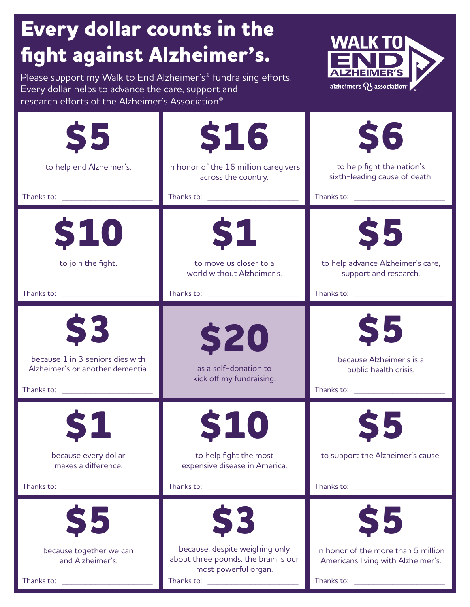## **Every dollar counts in the fight against Alzheimer's.**

Please support my Walk to End Alzheimer's® fundraising efforts. Every dollar helps to advance the care, support and research efforts of the Alzheimer's Association®.



| <b>S5</b><br>to help end Alzheimer's.<br>Thanks to: Thanks to:                                  | <b>\$16</b><br>in honor of the 16 million caregivers<br>across the country.<br>Thanks to: Thanks to:                                      | <b>S6</b><br>to help fight the nation's<br>sixth-leading cause of death.<br>Thanks to: Thanks to:                                                                                                                                                                                                   |
|-------------------------------------------------------------------------------------------------|-------------------------------------------------------------------------------------------------------------------------------------------|-----------------------------------------------------------------------------------------------------------------------------------------------------------------------------------------------------------------------------------------------------------------------------------------------------|
| <b>\$10</b><br>to join the fight.<br>Thanks to: Thanks to:                                      | <b>S1</b><br>to move us closer to a<br>world without Alzheimer's.                                                                         | \$5<br>to help advance Alzheimer's care,<br>support and research.<br>Thanks to: \\espiritures\\espiritures\\espiritures\\espiritures\\espiritures\\espiritures\\espiritures\\espiritures\\espiritures\\espiritures\\espiritures\\espiritures\\espiritures\\espiritures\\espiritures\\espiritures\\e |
| <b>S3</b><br>because 1 in 3 seniors dies with<br>Alzheimer's or another dementia.<br>Thanks to: | <b>\$20</b><br>as a self-donation to<br>kick off my fundraising.                                                                          | \$5<br>because Alzheimer's is a<br>public health crisis.<br>Thanks to: Thanks to:                                                                                                                                                                                                                   |
| because every dollar<br>makes a difference.<br>Thanks to: <u>www.community.com</u>              | <b>S10</b><br>to help fight the most<br>expensive disease in America.<br>Thanks to:                                                       | \$5<br>to support the Alzheimer's cause.<br>Thanks to: \\espiritures\\espiritures\\espiritures\\espiritures\\espiritures\\espiritures\\espiritures\\espiritures\\espiritures\\espiritures\\espiritures\\espiritures\\espiritures\\espiritures\\espiritures\\espiritures\\e                          |
| \$5<br>because together we can<br>end Alzheimer's.<br>Thanks to:                                | S3<br>because, despite weighing only<br>about three pounds, the brain is our<br>most powerful organ.<br>Thanks to: <u>_______________</u> | \$5<br>in honor of the more than 5 million<br>Americans living with Alzheimer's.                                                                                                                                                                                                                    |